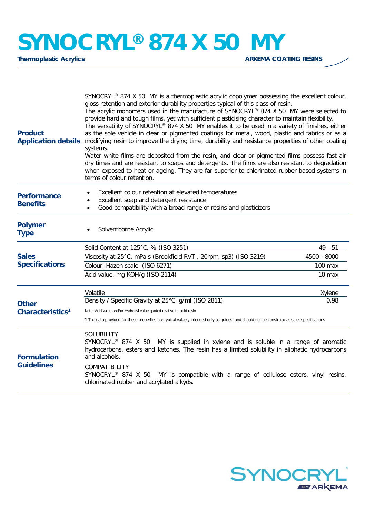## **SYNOCRYL®** 874 X 50 MY<br>Thermoplastic Acrylics

**Thermoplastic Acrylics** 

| <b>Product</b><br><b>Application details</b> | SYNOCRYL <sup>®</sup> 874 X 50 MY is a thermoplastic acrylic copolymer possessing the excellent colour,<br>gloss retention and exterior durability properties typical of this class of resin.<br>The acrylic monomers used in the manufacture of SYNOCRYL® 874 X 50 MY were selected to<br>provide hard and tough films, yet with sufficient plasticising character to maintain flexibility.<br>The versatility of SYNOCRYL® 874 X 50 MY enables it to be used in a variety of finishes, either<br>as the sole vehicle in clear or pigmented coatings for metal, wood, plastic and fabrics or as a<br>modifying resin to improve the drying time, durability and resistance properties of other coating<br>systems.<br>Water white films are deposited from the resin, and clear or pigmented films possess fast air<br>dry times and are resistant to soaps and detergents. The films are also resistant to degradation<br>when exposed to heat or ageing. They are far superior to chlorinated rubber based systems in<br>terms of colour retention. |                                                        |
|----------------------------------------------|--------------------------------------------------------------------------------------------------------------------------------------------------------------------------------------------------------------------------------------------------------------------------------------------------------------------------------------------------------------------------------------------------------------------------------------------------------------------------------------------------------------------------------------------------------------------------------------------------------------------------------------------------------------------------------------------------------------------------------------------------------------------------------------------------------------------------------------------------------------------------------------------------------------------------------------------------------------------------------------------------------------------------------------------------------|--------------------------------------------------------|
| <b>Performance</b><br><b>Benefits</b>        | Excellent colour retention at elevated temperatures<br>Excellent soap and detergent resistance<br>Good compatibility with a broad range of resins and plasticizers                                                                                                                                                                                                                                                                                                                                                                                                                                                                                                                                                                                                                                                                                                                                                                                                                                                                                     |                                                        |
| <b>Polymer</b><br><b>Type</b>                | Solventborne Acrylic                                                                                                                                                                                                                                                                                                                                                                                                                                                                                                                                                                                                                                                                                                                                                                                                                                                                                                                                                                                                                                   |                                                        |
| <b>Sales</b><br><b>Specifications</b>        | Solid Content at 125°C, % (ISO 3251)<br>Viscosity at 25°C, mPa.s (Brookfield RVT, 20rpm, sp3) (ISO 3219)<br>Colour, Hazen scale (ISO 6271)<br>Acid value, mg KOH/g (ISO 2114)                                                                                                                                                                                                                                                                                                                                                                                                                                                                                                                                                                                                                                                                                                                                                                                                                                                                          | 49 - 51<br>4500 - 8000<br>100 max<br>10 <sub>max</sub> |
| <b>Other</b><br>Characteristics <sup>1</sup> | Volatile<br>Density / Specific Gravity at 25°C, g/ml (ISO 2811)<br>Note: Acid value and/or Hydroxyl value quoted relative to solid resin<br>1 The data provided for these properties are typical values, intended only as guides, and should not be construed as sales specifications                                                                                                                                                                                                                                                                                                                                                                                                                                                                                                                                                                                                                                                                                                                                                                  | Xylene<br>0.98                                         |
| <b>Formulation</b><br><b>Guidelines</b>      | <b>SOLUBILITY</b><br>SYNOCRYL <sup>®</sup> 874 X 50 MY is supplied in xylene and is soluble in a range of aromatic<br>hydrocarbons, esters and ketones. The resin has a limited solubility in aliphatic hydrocarbons<br>and alcohols.<br>COMPATIBILITY<br>SYNOCRYL <sup>®</sup> 874 X 50 MY is compatible with a range of cellulose esters, vinyl resins,<br>chlorinated rubber and acrylated alkyds.                                                                                                                                                                                                                                                                                                                                                                                                                                                                                                                                                                                                                                                  |                                                        |